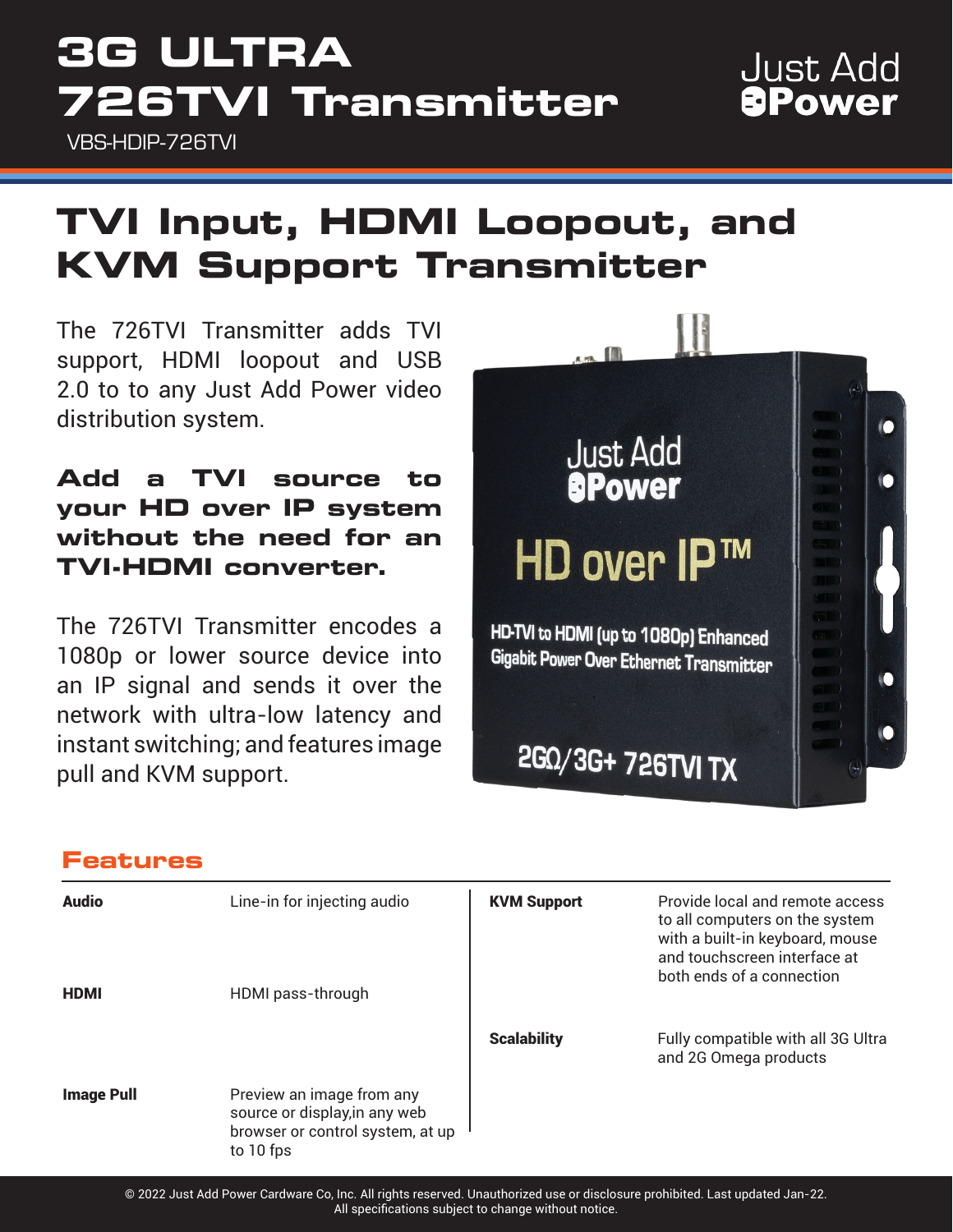# **3G ULTRA 726TVI Transmitter**

VBS-HDIP-726TVI

### **Just Add** *<u>aPower</u>*

## **TVI Input, HDMI Loopout, and KVM Support Transmitter**

The 726TVI Transmitter adds TVI support, HDMI loopout and USB 2.0 to to any Just Add Power video distribution system.

#### **Add a TVI source to your HD over IP system without the need for an TVI-HDMI converter.**

The 726TVI Transmitter encodes a 1080p or lower source device into an IP signal and sends it over the network with ultra-low latency and instant switching; and features image pull and KVM support.



#### **Features**

| <b>Audio</b><br><b>HDMI</b> | Line-in for injecting audio<br>HDMI pass-through                                                            | <b>KVM Support</b> | Provide local and remote access<br>to all computers on the system<br>with a built-in keyboard, mouse<br>and touchscreen interface at<br>both ends of a connection |
|-----------------------------|-------------------------------------------------------------------------------------------------------------|--------------------|-------------------------------------------------------------------------------------------------------------------------------------------------------------------|
|                             |                                                                                                             | <b>Scalability</b> | Fully compatible with all 3G Ultra<br>and 2G Omega products                                                                                                       |
| <b>Image Pull</b>           | Preview an image from any<br>source or display, in any web<br>browser or control system, at up<br>to 10 fps |                    |                                                                                                                                                                   |